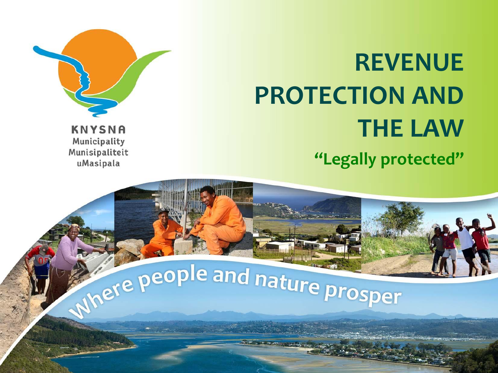

## **REVENUE PROTECTION AND THE LAW "Legally protected"**

**KNYSNA** Municipality Munisipaliteit uMasipala

# Where people and nature prosper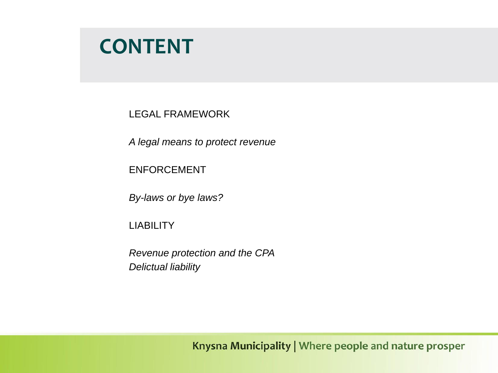## **CONTENT**

LEGAL FRAMEWORK

*A legal means to protect revenue*

ENFORCEMENT

*By-laws or bye laws?*

LIABILITY

*Revenue protection and the CPA Delictual liability*

Knysna Municipality | Where people and nature prosper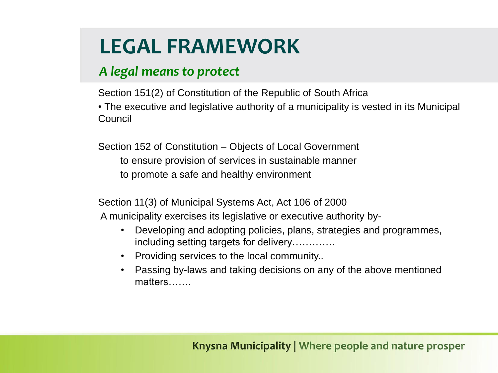## **LEGAL FRAMEWORK**

#### *A legal means to protect*

Section 151(2) of Constitution of the Republic of South Africa

• The executive and legislative authority of a municipality is vested in its Municipal Council

Section 152 of Constitution – Objects of Local Government to ensure provision of services in sustainable manner to promote a safe and healthy environment

Section 11(3) of Municipal Systems Act, Act 106 of 2000 A municipality exercises its legislative or executive authority by-

- Developing and adopting policies, plans, strategies and programmes, including setting targets for delivery………….
- Providing services to the local community..
- Passing by-laws and taking decisions on any of the above mentioned matters…….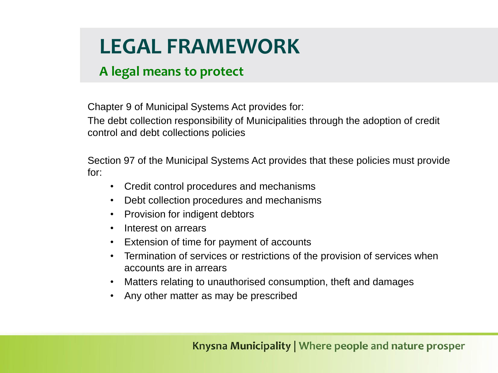## **LEGAL FRAMEWORK**

#### **A legal means to protect**

Chapter 9 of Municipal Systems Act provides for:

The debt collection responsibility of Municipalities through the adoption of credit control and debt collections policies

Section 97 of the Municipal Systems Act provides that these policies must provide for:

- Credit control procedures and mechanisms
- Debt collection procedures and mechanisms
- Provision for indigent debtors
- Interest on arrears
- Extension of time for payment of accounts
- Termination of services or restrictions of the provision of services when accounts are in arrears
- Matters relating to unauthorised consumption, theft and damages
- Any other matter as may be prescribed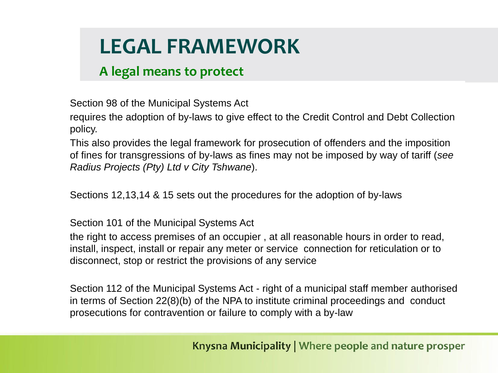## **LEGAL FRAMEWORK**

#### **A legal means to protect**

Section 98 of the Municipal Systems Act

requires the adoption of by-laws to give effect to the Credit Control and Debt Collection policy.

This also provides the legal framework for prosecution of offenders and the imposition of fines for transgressions of by-laws as fines may not be imposed by way of tariff (*see Radius Projects (Pty) Ltd v City Tshwane*).

Sections 12,13,14 & 15 sets out the procedures for the adoption of by-laws

Section 101 of the Municipal Systems Act

the right to access premises of an occupier , at all reasonable hours in order to read, install, inspect, install or repair any meter or service connection for reticulation or to disconnect, stop or restrict the provisions of any service

Section 112 of the Municipal Systems Act - right of a municipal staff member authorised in terms of Section 22(8)(b) of the NPA to institute criminal proceedings and conduct prosecutions for contravention or failure to comply with a by-law

Knysna Municipality | Where people and nature prosper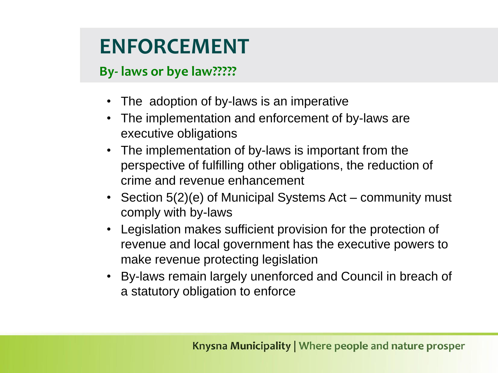#### **By- laws or bye law?????**

- The adoption of by-laws is an imperative
- The implementation and enforcement of by-laws are executive obligations
- The implementation of by-laws is important from the perspective of fulfilling other obligations, the reduction of crime and revenue enhancement
- Section 5(2)(e) of Municipal Systems Act community must comply with by-laws
- Legislation makes sufficient provision for the protection of revenue and local government has the executive powers to make revenue protecting legislation
- By-laws remain largely unenforced and Council in breach of a statutory obligation to enforce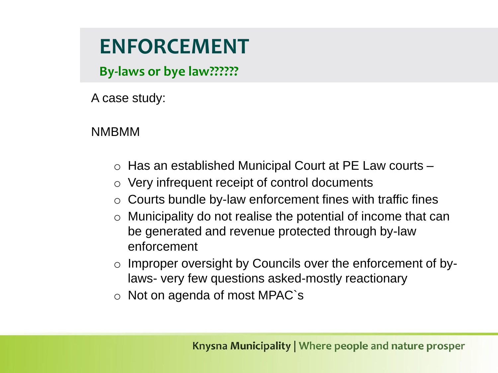**By-laws or bye law??????**

A case study:

NMBMM

- o Has an established Municipal Court at PE Law courts –
- o Very infrequent receipt of control documents
- $\circ$  Courts bundle by-law enforcement fines with traffic fines
- o Municipality do not realise the potential of income that can be generated and revenue protected through by-law enforcement
- o Improper oversight by Councils over the enforcement of bylaws- very few questions asked-mostly reactionary
- o Not on agenda of most MPAC`s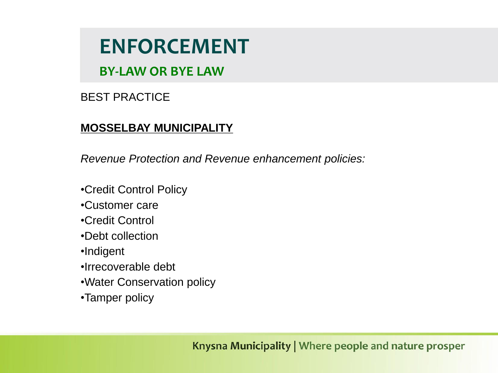**BY-LAW OR BYE LAW**

BEST PRACTICE

#### **MOSSELBAY MUNICIPALITY**

*Revenue Protection and Revenue enhancement policies:*

- •Credit Control Policy
- •Customer care
- •Credit Control
- •Debt collection
- •Indigent
- •Irrecoverable debt
- •Water Conservation policy
- •Tamper policy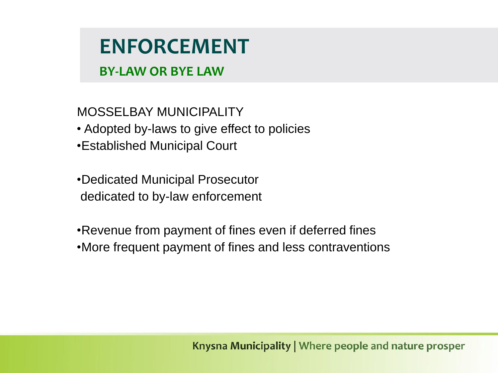#### **BY-LAW OR BYE LAW**

MOSSELBAY MUNICIPALITY • Adopted by-laws to give effect to policies •Established Municipal Court

•Dedicated Municipal Prosecutor dedicated to by-law enforcement

•Revenue from payment of fines even if deferred fines

•More frequent payment of fines and less contraventions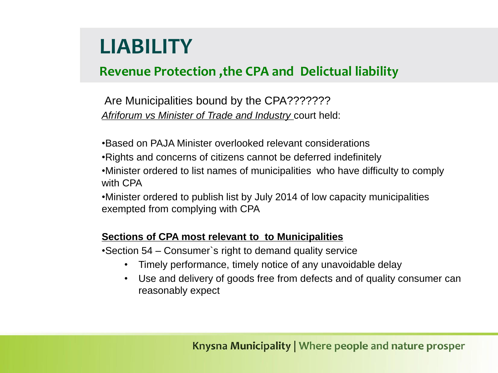#### **Revenue Protection ,the CPA and Delictual liability**

Are Municipalities bound by the CPA??????? *Afriforum vs Minister of Trade and Industry* court held:

•Based on PAJA Minister overlooked relevant considerations

•Rights and concerns of citizens cannot be deferred indefinitely

•Minister ordered to list names of municipalities who have difficulty to comply with CPA

•Minister ordered to publish list by July 2014 of low capacity municipalities exempted from complying with CPA

#### **Sections of CPA most relevant to to Municipalities**

•Section 54 – Consumer`s right to demand quality service

- Timely performance, timely notice of any unavoidable delay
- Use and delivery of goods free from defects and of quality consumer can reasonably expect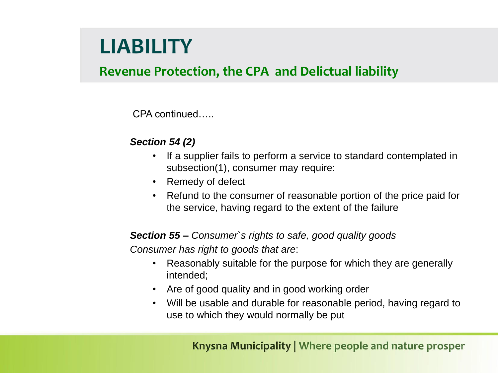#### **Revenue Protection, the CPA and Delictual liability**

CPA continued…..

#### *Section 54 (2)*

- If a supplier fails to perform a service to standard contemplated in subsection(1), consumer may require:
- Remedy of defect
- Refund to the consumer of reasonable portion of the price paid for the service, having regard to the extent of the failure

#### *Section 55 – Consumer`s rights to safe, good quality goods*

*Consumer has right to goods that are*:

- Reasonably suitable for the purpose for which they are generally intended;
- Are of good quality and in good working order
- Will be usable and durable for reasonable period, having regard to use to which they would normally be put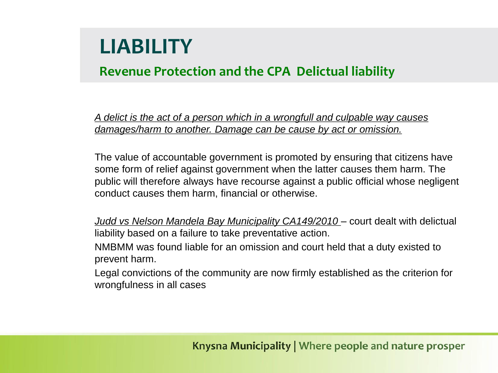#### **Revenue Protection and the CPA Delictual liability**

*A delict is the act of a person which in a wrongfull and culpable way causes damages/harm to another. Damage can be cause by act or omission.*

The value of accountable government is promoted by ensuring that citizens have some form of relief against government when the latter causes them harm. The public will therefore always have recourse against a public official whose negligent conduct causes them harm, financial or otherwise.

*Judd vs Nelson Mandela Bay Municipality CA149/2010 – court dealt with delictual* liability based on a failure to take preventative action.

NMBMM was found liable for an omission and court held that a duty existed to prevent harm.

Legal convictions of the community are now firmly established as the criterion for wrongfulness in all cases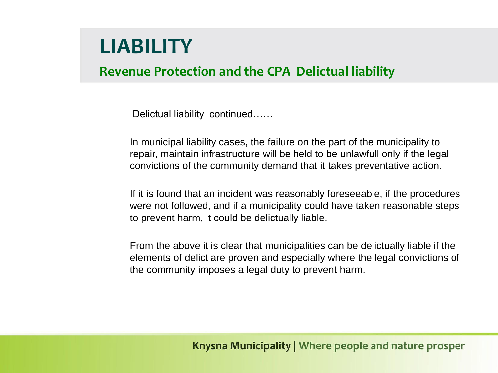#### **Revenue Protection and the CPA Delictual liability**

Delictual liability continued……

In municipal liability cases, the failure on the part of the municipality to repair, maintain infrastructure will be held to be unlawfull only if the legal convictions of the community demand that it takes preventative action.

If it is found that an incident was reasonably foreseeable, if the procedures were not followed, and if a municipality could have taken reasonable steps to prevent harm, it could be delictually liable.

From the above it is clear that municipalities can be delictually liable if the elements of delict are proven and especially where the legal convictions of the community imposes a legal duty to prevent harm.